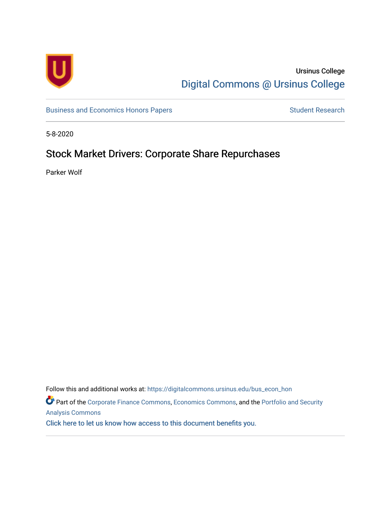

## Ursinus College [Digital Commons @ Ursinus College](https://digitalcommons.ursinus.edu/)

[Business and Economics Honors Papers](https://digitalcommons.ursinus.edu/bus_econ_hon) **Student Research** Student Research

5-8-2020

# Stock Market Drivers: Corporate Share Repurchases

Parker Wolf

Follow this and additional works at: [https://digitalcommons.ursinus.edu/bus\\_econ\\_hon](https://digitalcommons.ursinus.edu/bus_econ_hon?utm_source=digitalcommons.ursinus.edu%2Fbus_econ_hon%2F46&utm_medium=PDF&utm_campaign=PDFCoverPages)  Part of the [Corporate Finance Commons](http://network.bepress.com/hgg/discipline/629?utm_source=digitalcommons.ursinus.edu%2Fbus_econ_hon%2F46&utm_medium=PDF&utm_campaign=PDFCoverPages), [Economics Commons,](http://network.bepress.com/hgg/discipline/340?utm_source=digitalcommons.ursinus.edu%2Fbus_econ_hon%2F46&utm_medium=PDF&utm_campaign=PDFCoverPages) and the [Portfolio and Security](http://network.bepress.com/hgg/discipline/640?utm_source=digitalcommons.ursinus.edu%2Fbus_econ_hon%2F46&utm_medium=PDF&utm_campaign=PDFCoverPages)  [Analysis Commons](http://network.bepress.com/hgg/discipline/640?utm_source=digitalcommons.ursinus.edu%2Fbus_econ_hon%2F46&utm_medium=PDF&utm_campaign=PDFCoverPages)  [Click here to let us know how access to this document benefits you.](https://ursinus.co1.qualtrics.com/jfe/form/SV_1RIyfqzdxsWfMQ5)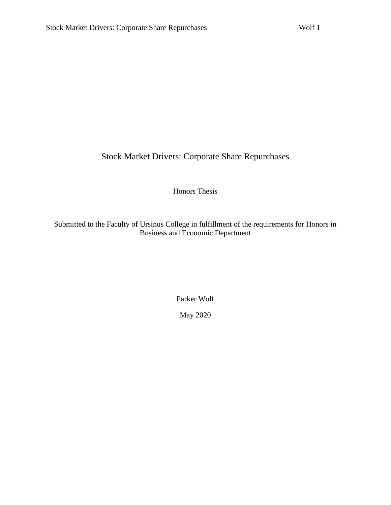Stock Market Drivers: Corporate Share Repurchases

Honors Thesis

Submitted to the Faculty of Ursinus College in fulfillment of the requirements for Honors in Business and Economic Department

Parker Wolf

May 2020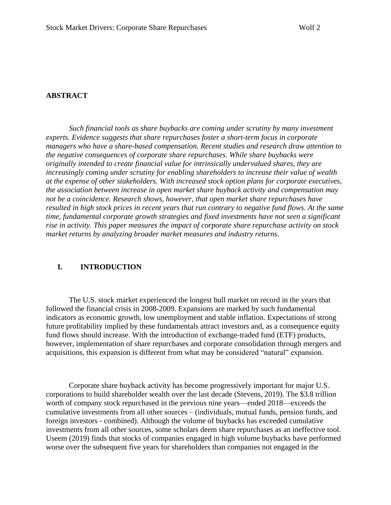#### **ABSTRACT**

*Such financial tools as share buybacks are coming under scrutiny by many investment experts. Evidence suggests that share repurchases foster a short-term focus in corporate managers who have a share-based compensation. Recent studies and research draw attention to the negative consequences of corporate share repurchases. While share buybacks were originally intended to create financial value for intrinsically undervalued shares, they are increasingly coming under scrutiny for enabling shareholders to increase their value of wealth at the expense of other stakeholders. With increased stock option plans for corporate executives, the association between increase in open market share buyback activity and compensation may not be a coincidence. Research shows, however, that open market share repurchases have resulted in high stock prices in recent years that run contrary to negative fund flows. At the same time, fundamental corporate growth strategies and fixed investments have not seen a significant rise in activity. This paper measures the impact of corporate share repurchase activity on stock market returns by analyzing broader market measures and industry returns.*

#### **I. INTRODUCTION**

The U.S. stock market experienced the longest bull market on record in the years that followed the financial crisis in 2008-2009. Expansions are marked by such fundamental indicators as economic growth, low unemployment and stable inflation. Expectations of strong future profitability implied by these fundamentals attract investors and, as a consequence equity fund flows should increase. With the introduction of exchange-traded fund (ETF) products, however, implementation of share repurchases and corporate consolidation through mergers and acquisitions, this expansion is different from what may be considered "natural" expansion.

Corporate share buyback activity has become progressively important for major U.S. corporations to build shareholder wealth over the last decade (Stevens, 2019). The \$3.8 trillion worth of company stock repurchased in the previous nine years—ended 2018—exceeds the cumulative investments from all other sources – (individuals, mutual funds, pension funds, and foreign investors - combined). Although the volume of buybacks has exceeded cumulative investments from all other sources, some scholars deem share repurchases as an ineffective tool. Useem (2019) finds that stocks of companies engaged in high volume buybacks have performed worse over the subsequent five years for shareholders than companies not engaged in the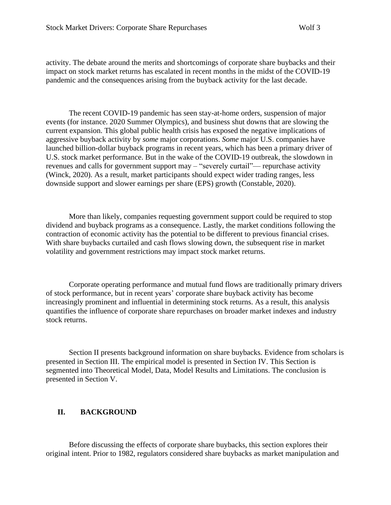activity. The debate around the merits and shortcomings of corporate share buybacks and their impact on stock market returns has escalated in recent months in the midst of the COVID-19 pandemic and the consequences arising from the buyback activity for the last decade.

The recent COVID-19 pandemic has seen stay-at-home orders, suspension of major events (for instance. 2020 Summer Olympics), and business shut downs that are slowing the current expansion. This global public health crisis has exposed the negative implications of aggressive buyback activity by *some* major corporations. *Some* major U.S. companies have launched billion-dollar buyback programs in recent years, which has been a primary driver of U.S. stock market performance. But in the wake of the COVID-19 outbreak, the slowdown in revenues and calls for government support may – "severely curtail"— repurchase activity (Winck, 2020). As a result, market participants should expect wider trading ranges, less downside support and slower earnings per share (EPS) growth (Constable, 2020).

More than likely, companies requesting government support could be required to stop dividend and buyback programs as a consequence. Lastly, the market conditions following the contraction of economic activity has the potential to be different to previous financial crises. With share buybacks curtailed and cash flows slowing down, the subsequent rise in market volatility and government restrictions may impact stock market returns.

Corporate operating performance and mutual fund flows are traditionally primary drivers of stock performance, but in recent years' corporate share buyback activity has become increasingly prominent and influential in determining stock returns. As a result, this analysis quantifies the influence of corporate share repurchases on broader market indexes and industry stock returns.

Section II presents background information on share buybacks. Evidence from scholars is presented in Section III. The empirical model is presented in Section IV. This Section is segmented into Theoretical Model, Data, Model Results and Limitations. The conclusion is presented in Section V.

## **II. BACKGROUND**

Before discussing the effects of corporate share buybacks, this section explores their original intent. Prior to 1982, regulators considered share buybacks as market manipulation and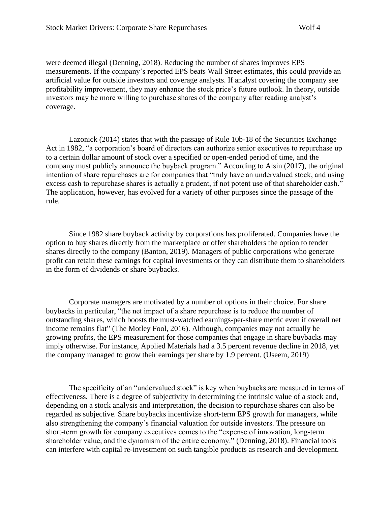were deemed illegal (Denning, 2018). Reducing the number of shares improves EPS measurements. If the company's reported EPS beats Wall Street estimates, this could provide an artificial value for outside investors and coverage analysts. If analyst covering the company see profitability improvement, they may enhance the stock price's future outlook. In theory, outside investors may be more willing to purchase shares of the company after reading analyst's coverage.

Lazonick (2014) states that with the passage of Rule 10b-18 of the Securities Exchange Act in 1982, "a corporation's board of directors can authorize senior executives to repurchase up to a certain dollar amount of stock over a specified or open-ended period of time, and the company must publicly announce the buyback program." According to Alsin (2017), the original intention of share repurchases are for companies that "truly have an undervalued stock, and using excess cash to repurchase shares is actually a prudent, if not potent use of that shareholder cash." The application, however, has evolved for a variety of other purposes since the passage of the rule.

Since 1982 share buyback activity by corporations has proliferated. Companies have the option to buy shares directly from the marketplace or offer shareholders the option to tender shares directly to the company (Banton, 2019). Managers of public corporations who generate profit can retain these earnings for capital investments or they can distribute them to shareholders in the form of dividends or share buybacks.

Corporate managers are motivated by a number of options in their choice. For share buybacks in particular, "the net impact of a share repurchase is to reduce the number of outstanding shares, which boosts the must-watched earnings-per-share metric even if overall net income remains flat" (The Motley Fool, 2016). Although, companies may not actually be growing profits, the EPS measurement for those companies that engage in share buybacks may imply otherwise. For instance, Applied Materials had a 3.5 percent revenue decline in 2018, yet the company managed to grow their earnings per share by 1.9 percent. (Useem, 2019)

The specificity of an "undervalued stock" is key when buybacks are measured in terms of effectiveness. There is a degree of subjectivity in determining the intrinsic value of a stock and, depending on a stock analysis and interpretation, the decision to repurchase shares can also be regarded as subjective. Share buybacks incentivize short-term EPS growth for managers, while also strengthening the company's financial valuation for outside investors. The pressure on short-term growth for company executives comes to the "expense of innovation, long-term shareholder value, and the dynamism of the entire economy." (Denning, 2018). Financial tools can interfere with capital re-investment on such tangible products as research and development.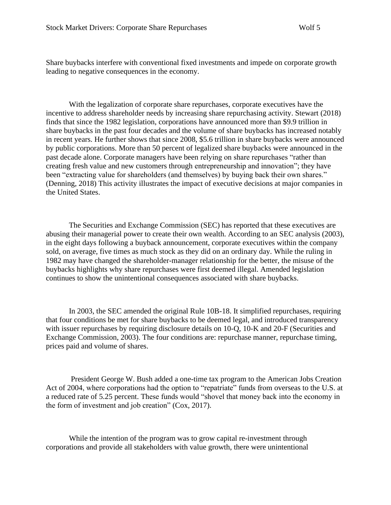Share buybacks interfere with conventional fixed investments and impede on corporate growth leading to negative consequences in the economy.

With the legalization of corporate share repurchases, corporate executives have the incentive to address shareholder needs by increasing share repurchasing activity. Stewart (2018) finds that since the 1982 legislation, corporations have announced more than \$9.9 trillion in share buybacks in the past four decades and the volume of share buybacks has increased notably in recent years. He further shows that since 2008, \$5.6 trillion in share buybacks were announced by public corporations. More than 50 percent of legalized share buybacks were announced in the past decade alone. Corporate managers have been relying on share repurchases "rather than creating fresh value and new customers through entrepreneurship and innovation"; they have been "extracting value for shareholders (and themselves) by buying back their own shares." (Denning, 2018) This activity illustrates the impact of executive decisions at major companies in the United States.

The Securities and Exchange Commission (SEC) has reported that these executives are abusing their managerial power to create their own wealth. According to an SEC analysis (2003), in the eight days following a buyback announcement, corporate executives within the company sold, on average, five times as much stock as they did on an ordinary day. While the ruling in 1982 may have changed the shareholder-manager relationship for the better, the misuse of the buybacks highlights why share repurchases were first deemed illegal. Amended legislation continues to show the unintentional consequences associated with share buybacks.

In 2003, the SEC amended the original Rule 10B-18. It simplified repurchases, requiring that four conditions be met for share buybacks to be deemed legal, and introduced transparency with issuer repurchases by requiring disclosure details on 10-Q, 10-K and 20-F (Securities and Exchange Commission, 2003). The four conditions are: repurchase manner, repurchase timing, prices paid and volume of shares.

President George W. Bush added a one-time tax program to the American Jobs Creation Act of 2004, where corporations had the option to "repatriate" funds from overseas to the U.S. at a reduced rate of 5.25 percent. These funds would "shovel that money back into the economy in the form of investment and job creation" (Cox, 2017).

While the intention of the program was to grow capital re-investment through corporations and provide all stakeholders with value growth, there were unintentional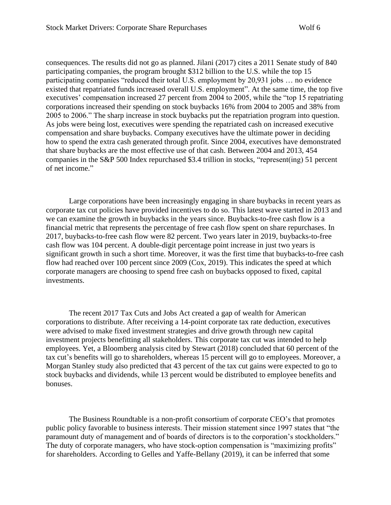consequences. The results did not go as planned. Jilani (2017) cites a 2011 Senate study of 840 participating companies, the program brought \$312 billion to the U.S. while the top 15 participating companies "reduced their total U.S. employment by 20,931 jobs … no evidence existed that repatriated funds increased overall U.S. employment". At the same time, the top five executives' compensation increased 27 percent from 2004 to 2005, while the "top 15 repatriating corporations increased their spending on stock buybacks 16% from 2004 to 2005 and 38% from 2005 to 2006." The sharp increase in stock buybacks put the repatriation program into question. As jobs were being lost, executives were spending the repatriated cash on increased executive compensation and share buybacks. Company executives have the ultimate power in deciding how to spend the extra cash generated through profit. Since 2004, executives have demonstrated that share buybacks are the most effective use of that cash. Between 2004 and 2013, 454 companies in the S&P 500 Index repurchased \$3.4 trillion in stocks, "represent(ing) 51 percent of net income."

Large corporations have been increasingly engaging in share buybacks in recent years as corporate tax cut policies have provided incentives to do so. This latest wave started in 2013 and we can examine the growth in buybacks in the years since. Buybacks-to-free cash flow is a financial metric that represents the percentage of free cash flow spent on share repurchases. In 2017, buybacks-to-free cash flow were 82 percent. Two years later in 2019, buybacks-to-free cash flow was 104 percent. A double-digit percentage point increase in just two years is significant growth in such a short time. Moreover, it was the first time that buybacks-to-free cash flow had reached over 100 percent since 2009 (Cox, 2019). This indicates the speed at which corporate managers are choosing to spend free cash on buybacks opposed to fixed, capital investments.

The recent 2017 Tax Cuts and Jobs Act created a gap of wealth for American corporations to distribute. After receiving a 14-point corporate tax rate deduction, executives were advised to make fixed investment strategies and drive growth through new capital investment projects benefitting all stakeholders. This corporate tax cut was intended to help employees. Yet, a Bloomberg analysis cited by Stewart (2018) concluded that 60 percent of the tax cut's benefits will go to shareholders, whereas 15 percent will go to employees. Moreover, a Morgan Stanley study also predicted that 43 percent of the tax cut gains were expected to go to stock buybacks and dividends, while 13 percent would be distributed to employee benefits and bonuses.

The Business Roundtable is a non-profit consortium of corporate CEO's that promotes public policy favorable to business interests. Their mission statement since 1997 states that "the paramount duty of management and of boards of directors is to the corporation's stockholders." The duty of corporate managers, who have stock-option compensation is "maximizing profits" for shareholders. According to Gelles and Yaffe-Bellany (2019), it can be inferred that some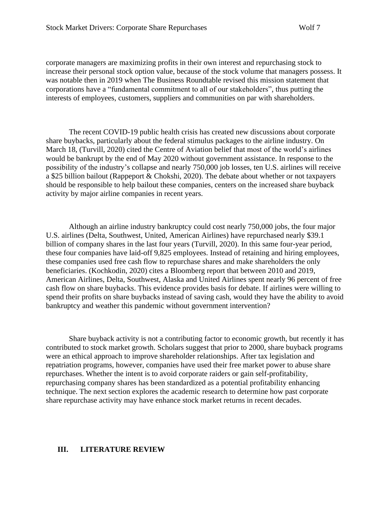corporate managers are maximizing profits in their own interest and repurchasing stock to increase their personal stock option value, because of the stock volume that managers possess. It was notable then in 2019 when The Business Roundtable revised this mission statement that corporations have a "fundamental commitment to all of our stakeholders", thus putting the interests of employees, customers, suppliers and communities on par with shareholders.

The recent COVID-19 public health crisis has created new discussions about corporate share buybacks, particularly about the federal stimulus packages to the airline industry. On March 18, (Turvill, 2020) cited the Centre of Aviation belief that most of the world's airlines would be bankrupt by the end of May 2020 without government assistance. In response to the possibility of the industry's collapse and nearly 750,000 job losses, ten U.S. airlines will receive a \$25 billion bailout (Rappeport & Chokshi, 2020). The debate about whether or not taxpayers should be responsible to help bailout these companies, centers on the increased share buyback activity by major airline companies in recent years.

Although an airline industry bankruptcy could cost nearly 750,000 jobs, the four major U.S. airlines (Delta, Southwest, United, American Airlines) have repurchased nearly \$39.1 billion of company shares in the last four years (Turvill, 2020). In this same four-year period, these four companies have laid-off 9,825 employees. Instead of retaining and hiring employees, these companies used free cash flow to repurchase shares and make shareholders the only beneficiaries. (Kochkodin, 2020) cites a Bloomberg report that between 2010 and 2019, American Airlines, Delta, Southwest, Alaska and United Airlines spent nearly 96 percent of free cash flow on share buybacks. This evidence provides basis for debate. If airlines were willing to spend their profits on share buybacks instead of saving cash, would they have the ability to avoid bankruptcy and weather this pandemic without government intervention?

Share buyback activity is not a contributing factor to economic growth, but recently it has contributed to stock market growth. Scholars suggest that prior to 2000, share buyback programs were an ethical approach to improve shareholder relationships. After tax legislation and repatriation programs, however, companies have used their free market power to abuse share repurchases. Whether the intent is to avoid corporate raiders or gain self-profitability, repurchasing company shares has been standardized as a potential profitability enhancing technique. The next section explores the academic research to determine how past corporate share repurchase activity may have enhance stock market returns in recent decades.

#### **III. LITERATURE REVIEW**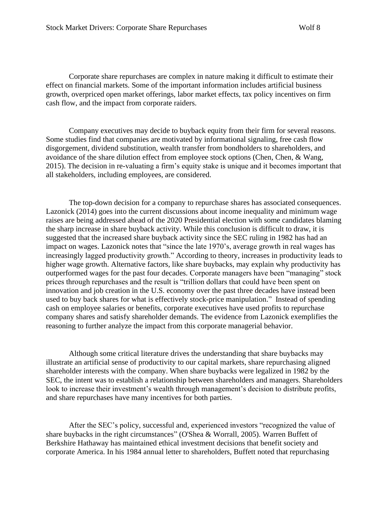Corporate share repurchases are complex in nature making it difficult to estimate their effect on financial markets. Some of the important information includes artificial business growth, overpriced open market offerings, labor market effects, tax policy incentives on firm cash flow, and the impact from corporate raiders.

Company executives may decide to buyback equity from their firm for several reasons. Some studies find that companies are motivated by informational signaling, free cash flow disgorgement, dividend substitution, wealth transfer from bondholders to shareholders, and avoidance of the share dilution effect from employee stock options (Chen, Chen, & Wang, 2015). The decision in re-valuating a firm's equity stake is unique and it becomes important that all stakeholders, including employees, are considered.

The top-down decision for a company to repurchase shares has associated consequences. Lazonick (2014) goes into the current discussions about income inequality and minimum wage raises are being addressed ahead of the 2020 Presidential election with some candidates blaming the sharp increase in share buyback activity. While this conclusion is difficult to draw, it is suggested that the increased share buyback activity since the SEC ruling in 1982 has had an impact on wages. Lazonick notes that "since the late 1970's, average growth in real wages has increasingly lagged productivity growth." According to theory, increases in productivity leads to higher wage growth. Alternative factors, like share buybacks, may explain why productivity has outperformed wages for the past four decades. Corporate managers have been "managing" stock prices through repurchases and the result is "trillion dollars that could have been spent on innovation and job creation in the U.S. economy over the past three decades have instead been used to buy back shares for what is effectively stock-price manipulation." Instead of spending cash on employee salaries or benefits, corporate executives have used profits to repurchase company shares and satisfy shareholder demands. The evidence from Lazonick exemplifies the reasoning to further analyze the impact from this corporate managerial behavior.

Although some critical literature drives the understanding that share buybacks may illustrate an artificial sense of productivity to our capital markets, share repurchasing aligned shareholder interests with the company. When share buybacks were legalized in 1982 by the SEC, the intent was to establish a relationship between shareholders and managers. Shareholders look to increase their investment's wealth through management's decision to distribute profits, and share repurchases have many incentives for both parties.

After the SEC's policy, successful and, experienced investors "recognized the value of share buybacks in the right circumstances" (O'Shea & Worrall, 2005). Warren Buffett of Berkshire Hathaway has maintained ethical investment decisions that benefit society and corporate America. In his 1984 annual letter to shareholders, Buffett noted that repurchasing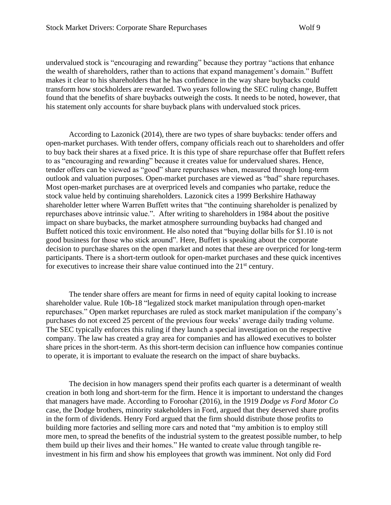undervalued stock is "encouraging and rewarding" because they portray "actions that enhance the wealth of shareholders, rather than to actions that expand management's domain." Buffett makes it clear to his shareholders that he has confidence in the way share buybacks could transform how stockholders are rewarded. Two years following the SEC ruling change, Buffett found that the benefits of share buybacks outweigh the costs. It needs to be noted, however, that his statement only accounts for share buyback plans with undervalued stock prices.

According to Lazonick (2014), there are two types of share buybacks: tender offers and open-market purchases. With tender offers, company officials reach out to shareholders and offer to buy back their shares at a fixed price. It is this type of share repurchase offer that Buffett refers to as "encouraging and rewarding" because it creates value for undervalued shares. Hence, tender offers can be viewed as "good" share repurchases when, measured through long-term outlook and valuation purposes. Open-market purchases are viewed as "bad" share repurchases. Most open-market purchases are at overpriced levels and companies who partake, reduce the stock value held by continuing shareholders. Lazonick cites a 1999 Berkshire Hathaway shareholder letter where Warren Buffett writes that "the continuing shareholder is penalized by repurchases above intrinsic value.". After writing to shareholders in 1984 about the positive impact on share buybacks, the market atmosphere surrounding buybacks had changed and Buffett noticed this toxic environment. He also noted that "buying dollar bills for \$1.10 is not good business for those who stick around". Here, Buffett is speaking about the corporate decision to purchase shares on the open market and notes that these are overpriced for long-term participants. There is a short-term outlook for open-market purchases and these quick incentives for executives to increase their share value continued into the  $21<sup>st</sup>$  century.

The tender share offers are meant for firms in need of equity capital looking to increase shareholder value. Rule 10b-18 "legalized stock market manipulation through open-market repurchases." Open market repurchases are ruled as stock market manipulation if the company's purchases do not exceed 25 percent of the previous four weeks' average daily trading volume. The SEC typically enforces this ruling if they launch a special investigation on the respective company. The law has created a gray area for companies and has allowed executives to bolster share prices in the short-term. As this short-term decision can influence how companies continue to operate, it is important to evaluate the research on the impact of share buybacks.

The decision in how managers spend their profits each quarter is a determinant of wealth creation in both long and short-term for the firm. Hence it is important to understand the changes that managers have made. According to Foroohar (2016), in the 1919 *Dodge vs Ford Motor Co* case, the Dodge brothers, minority stakeholders in Ford, argued that they deserved share profits in the form of dividends. Henry Ford argued that the firm should distribute those profits to building more factories and selling more cars and noted that "my ambition is to employ still more men, to spread the benefits of the industrial system to the greatest possible number, to help them build up their lives and their homes." He wanted to create value through tangible reinvestment in his firm and show his employees that growth was imminent. Not only did Ford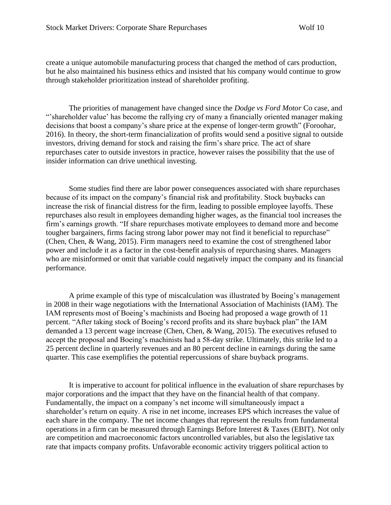create a unique automobile manufacturing process that changed the method of cars production, but he also maintained his business ethics and insisted that his company would continue to grow through stakeholder prioritization instead of shareholder profiting.

The priorities of management have changed since the *Dodge vs Ford Motor* Co case, and "'shareholder value' has become the rallying cry of many a financially oriented manager making decisions that boost a company's share price at the expense of longer-term growth" (Foroohar, 2016). In theory, the short-term financialization of profits would send a positive signal to outside investors, driving demand for stock and raising the firm's share price. The act of share repurchases cater to outside investors in practice, however raises the possibility that the use of insider information can drive unethical investing.

Some studies find there are labor power consequences associated with share repurchases because of its impact on the company's financial risk and profitability. Stock buybacks can increase the risk of financial distress for the firm, leading to possible employee layoffs. These repurchases also result in employees demanding higher wages, as the financial tool increases the firm's earnings growth. "If share repurchases motivate employees to demand more and become tougher bargainers, firms facing strong labor power may not find it beneficial to repurchase" (Chen, Chen, & Wang, 2015). Firm managers need to examine the cost of strengthened labor power and include it as a factor in the cost-benefit analysis of repurchasing shares. Managers who are misinformed or omit that variable could negatively impact the company and its financial performance.

A prime example of this type of miscalculation was illustrated by Boeing's management in 2008 in their wage negotiations with the International Association of Machinists (IAM). The IAM represents most of Boeing's machinists and Boeing had proposed a wage growth of 11 percent. "After taking stock of Boeing's record profits and its share buyback plan" the IAM demanded a 13 percent wage increase (Chen, Chen, & Wang, 2015). The executives refused to accept the proposal and Boeing's machinists had a 58-day strike. Ultimately, this strike led to a 25 percent decline in quarterly revenues and an 80 percent decline in earnings during the same quarter. This case exemplifies the potential repercussions of share buyback programs.

It is imperative to account for political influence in the evaluation of share repurchases by major corporations and the impact that they have on the financial health of that company. Fundamentally, the impact on a company's net income will simultaneously impact a shareholder's return on equity. A rise in net income, increases EPS which increases the value of each share in the company. The net income changes that represent the results from fundamental operations in a firm can be measured through Earnings Before Interest & Taxes (EBIT). Not only are competition and macroeconomic factors uncontrolled variables, but also the legislative tax rate that impacts company profits. Unfavorable economic activity triggers political action to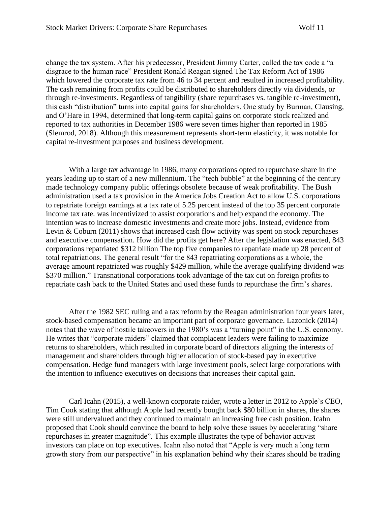change the tax system. After his predecessor, President Jimmy Carter, called the tax code a "a disgrace to the human race" President Ronald Reagan signed The Tax Reform Act of 1986 which lowered the corporate tax rate from 46 to 34 percent and resulted in increased profitability. The cash remaining from profits could be distributed to shareholders directly via dividends, or through re-investments. Regardless of tangibility (share repurchases vs. tangible re-investment), this cash "distribution" turns into capital gains for shareholders. One study by Burman, Clausing, and O'Hare in 1994, determined that long-term capital gains on corporate stock realized and reported to tax authorities in December 1986 were seven times higher than reported in 1985 (Slemrod, 2018). Although this measurement represents short-term elasticity, it was notable for capital re-investment purposes and business development.

With a large tax advantage in 1986, many corporations opted to repurchase share in the years leading up to start of a new millennium. The "tech bubble" at the beginning of the century made technology company public offerings obsolete because of weak profitability. The Bush administration used a tax provision in the America Jobs Creation Act to allow U.S. corporations to repatriate foreign earnings at a tax rate of 5.25 percent instead of the top 35 percent corporate income tax rate. was incentivized to assist corporations and help expand the economy. The intention was to increase domestic investments and create more jobs. Instead, evidence from Levin  $& Coburn (2011)$  shows that increased cash flow activity was spent on stock repurchases and executive compensation. How did the profits get here? After the legislation was enacted, 843 corporations repatriated \$312 billion The top five companies to repatriate made up 28 percent of total repatriations. The general result "for the 843 repatriating corporations as a whole, the average amount repatriated was roughly \$429 million, while the average qualifying dividend was \$370 million." Transnational corporations took advantage of the tax cut on foreign profits to repatriate cash back to the United States and used these funds to repurchase the firm's shares.

After the 1982 SEC ruling and a tax reform by the Reagan administration four years later, stock-based compensation became an important part of corporate governance. Lazonick (2014) notes that the wave of hostile takeovers in the 1980's was a "turning point" in the U.S. economy. He writes that "corporate raiders" claimed that complacent leaders were failing to maximize returns to shareholders, which resulted in corporate board of directors aligning the interests of management and shareholders through higher allocation of stock-based pay in executive compensation. Hedge fund managers with large investment pools, select large corporations with the intention to influence executives on decisions that increases their capital gain.

Carl Icahn (2015), a well-known corporate raider, wrote a letter in 2012 to Apple's CEO, Tim Cook stating that although Apple had recently bought back \$80 billion in shares, the shares were still undervalued and they continued to maintain an increasing free cash position. Icahn proposed that Cook should convince the board to help solve these issues by accelerating "share repurchases in greater magnitude". This example illustrates the type of behavior activist investors can place on top executives. Icahn also noted that "Apple is very much a long term growth story from our perspective" in his explanation behind why their shares should be trading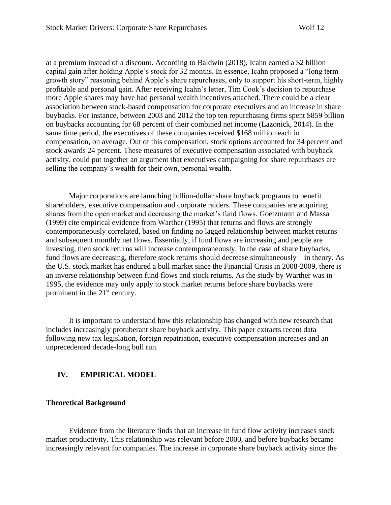at a premium instead of a discount. According to Baldwin (2018), Icahn earned a \$2 billion capital gain after holding Apple's stock for 32 months. In essence, Icahn proposed a "long term growth story" reasoning behind Apple's share repurchases, only to support his short-term, highly profitable and personal gain. After receiving Icahn's letter, Tim Cook's decision to repurchase more Apple shares may have had personal wealth incentives attached. There could be a clear association between stock-based compensation for corporate executives and an increase in share buybacks. For instance, between 2003 and 2012 the top ten repurchasing firms spent \$859 billion on buybacks accounting for 68 percent of their combined net income (Lazonick, 2014). In the same time period, the executives of these companies received \$168 million each in compensation, on average. Out of this compensation, stock options accounted for 34 percent and stock awards 24 percent. These measures of executive compensation associated with buyback activity, could put together an argument that executives campaigning for share repurchases are selling the company's wealth for their own, personal wealth.

Major corporations are launching billion-dollar share buyback programs to benefit shareholders, executive compensation and corporate raiders. These companies are acquiring shares from the open market and decreasing the market's fund flows. Goetzmann and Massa (1999) cite empirical evidence from Warther (1995) that returns and flows are strongly contemporaneously correlated, based on finding no lagged relationship between market returns and subsequent monthly net flows. Essentially, if fund flows are increasing and people are investing, then stock returns will increase contemporaneously. In the case of share buybacks, fund flows are decreasing, therefore stock returns should decrease simultaneously—in theory. As the U.S. stock market has endured a bull market since the Financial Crisis in 2008-2009, there is an inverse relationship between fund flows and stock returns. As the study by Warther was in 1995, the evidence may only apply to stock market returns before share buybacks were prominent in the 21<sup>st</sup> century.

It is important to understand how this relationship has changed with new research that includes increasingly protuberant share buyback activity. This paper extracts recent data following new tax legislation, foreign repatriation, executive compensation increases and an unprecedented decade-long bull run.

#### **IV. EMPIRICAL MODEL**

#### **Theoretical Background**

Evidence from the literature finds that an increase in fund flow activity increases stock market productivity. This relationship was relevant before 2000, and before buybacks became increasingly relevant for companies. The increase in corporate share buyback activity since the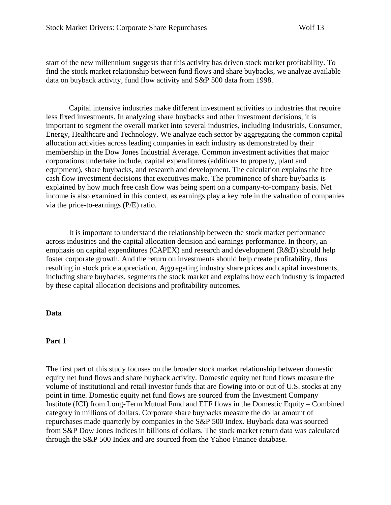start of the new millennium suggests that this activity has driven stock market profitability. To find the stock market relationship between fund flows and share buybacks, we analyze available data on buyback activity, fund flow activity and S&P 500 data from 1998.

Capital intensive industries make different investment activities to industries that require less fixed investments. In analyzing share buybacks and other investment decisions, it is important to segment the overall market into several industries, including Industrials, Consumer, Energy, Healthcare and Technology. We analyze each sector by aggregating the common capital allocation activities across leading companies in each industry as demonstrated by their membership in the Dow Jones Industrial Average. Common investment activities that major corporations undertake include, capital expenditures (additions to property, plant and equipment), share buybacks, and research and development. The calculation explains the free cash flow investment decisions that executives make. The prominence of share buybacks is explained by how much free cash flow was being spent on a company-to-company basis. Net income is also examined in this context, as earnings play a key role in the valuation of companies via the price-to-earnings (P/E) ratio.

It is important to understand the relationship between the stock market performance across industries and the capital allocation decision and earnings performance. In theory, an emphasis on capital expenditures (CAPEX) and research and development (R&D) should help foster corporate growth. And the return on investments should help create profitability, thus resulting in stock price appreciation. Aggregating industry share prices and capital investments, including share buybacks, segments the stock market and explains how each industry is impacted by these capital allocation decisions and profitability outcomes.

#### **Data**

#### **Part 1**

The first part of this study focuses on the broader stock market relationship between domestic equity net fund flows and share buyback activity. Domestic equity net fund flows measure the volume of institutional and retail investor funds that are flowing into or out of U.S. stocks at any point in time. Domestic equity net fund flows are sourced from the Investment Company Institute (ICI) from Long-Term Mutual Fund and ETF flows in the Domestic Equity – Combined category in millions of dollars. Corporate share buybacks measure the dollar amount of repurchases made quarterly by companies in the S&P 500 Index. Buyback data was sourced from S&P Dow Jones Indices in billions of dollars. The stock market return data was calculated through the S&P 500 Index and are sourced from the Yahoo Finance database.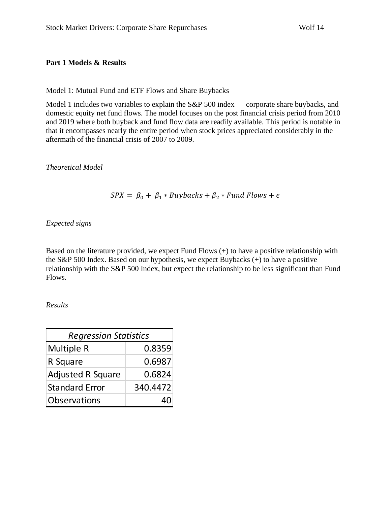#### **Part 1 Models & Results**

#### Model 1: Mutual Fund and ETF Flows and Share Buybacks

Model 1 includes two variables to explain the S&P 500 index — corporate share buybacks, and domestic equity net fund flows. The model focuses on the post financial crisis period from 2010 and 2019 where both buyback and fund flow data are readily available. This period is notable in that it encompasses nearly the entire period when stock prices appreciated considerably in the aftermath of the financial crisis of 2007 to 2009.

*Theoretical Model*

## $SPX = \beta_0 + \beta_1 * Buybacks + \beta_2 * Fund Flows + \epsilon$

*Expected signs*

Based on the literature provided, we expect Fund Flows (+) to have a positive relationship with the S&P 500 Index. Based on our hypothesis, we expect Buybacks (+) to have a positive relationship with the S&P 500 Index, but expect the relationship to be less significant than Fund Flows.

*Results*

| <b>Regression Statistics</b> |          |  |
|------------------------------|----------|--|
| Multiple R                   | 0.8359   |  |
| R Square                     | 0.6987   |  |
| <b>Adjusted R Square</b>     | 0.6824   |  |
| <b>Standard Error</b>        | 340.4472 |  |
| Observations                 |          |  |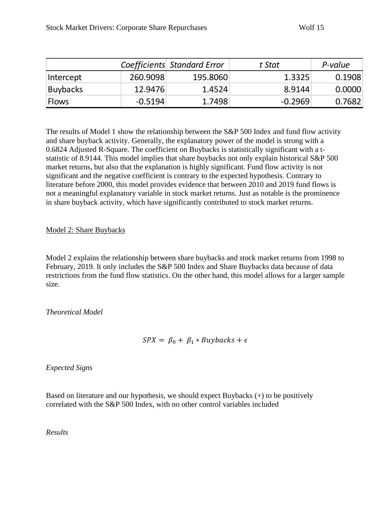|                 |           | Coefficients Standard Error | t Stat    | P-value |
|-----------------|-----------|-----------------------------|-----------|---------|
| Intercept       | 260.9098  | 195.8060                    | 1.3325    | 0.1908  |
| <b>Buybacks</b> | 12.9476   | 1.4524                      | 8.9144    | 0.0000  |
| <b>Flows</b>    | $-0.5194$ | 1.7498                      | $-0.2969$ | 0.7682  |

The results of Model 1 show the relationship between the S&P 500 Index and fund flow activity and share buyback activity. Generally, the explanatory power of the model is strong with a 0.6824 Adjusted R-Square. The coefficient on Buybacks is statistically significant with a tstatistic of 8.9144. This model implies that share buybacks not only explain historical S&P 500 market returns, but also that the explanation is highly significant. Fund flow activity is not significant and the negative coefficient is contrary to the expected hypothesis. Contrary to literature before 2000, this model provides evidence that between 2010 and 2019 fund flows is not a meaningful explanatory variable in stock market returns. Just as notable is the prominence in share buyback activity, which have significantly contributed to stock market returns.

## Model 2: Share Buybacks

Model 2 explains the relationship between share buybacks and stock market returns from 1998 to February, 2019. It only includes the S&P 500 Index and Share Buybacks data because of data restrictions from the fund flow statistics. On the other hand, this model allows for a larger sample size.

*Theoretical Model*

$$
SPX = \beta_0 + \beta_1 * Buybacks + \epsilon
$$

*Expected Signs*

Based on literature and our hypothesis, we should expect Buybacks (+) to be positively correlated with the S&P 500 Index, with no other control variables included

*Results*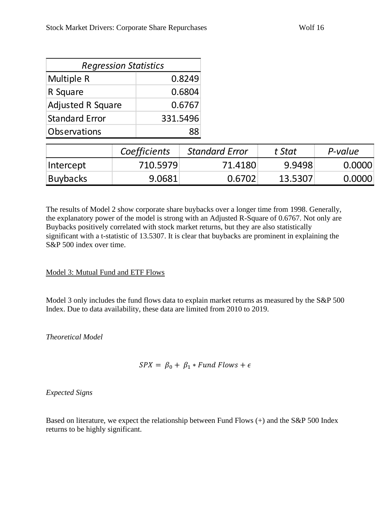| <b>Regression Statistics</b> |          |  |
|------------------------------|----------|--|
| Multiple R                   | 0.8249   |  |
| R Square                     | 0.6804   |  |
| <b>Adjusted R Square</b>     | 0.6767   |  |
| <b>Standard Error</b>        | 331.5496 |  |
| Observations                 |          |  |

|                 | Coefficients | <b>Standard Error</b> | t Stat  | P-value |
|-----------------|--------------|-----------------------|---------|---------|
| Intercept       | 710.5979     | 71.4180               | 9.9498  | 0.0000  |
| <b>Buybacks</b> | 9.0681       | 0.6702                | 13.5307 | 0.0000  |

The results of Model 2 show corporate share buybacks over a longer time from 1998. Generally, the explanatory power of the model is strong with an Adjusted R-Square of 0.6767. Not only are Buybacks positively correlated with stock market returns, but they are also statistically significant with a t-statistic of 13.5307. It is clear that buybacks are prominent in explaining the S&P 500 index over time.

Model 3: Mutual Fund and ETF Flows

Model 3 only includes the fund flows data to explain market returns as measured by the S&P 500 Index. Due to data availability, these data are limited from 2010 to 2019.

*Theoretical Model*

$$
SPX = \beta_0 + \beta_1 * Fund Flows + \epsilon
$$

*Expected Signs*

Based on literature, we expect the relationship between Fund Flows (+) and the S&P 500 Index returns to be highly significant.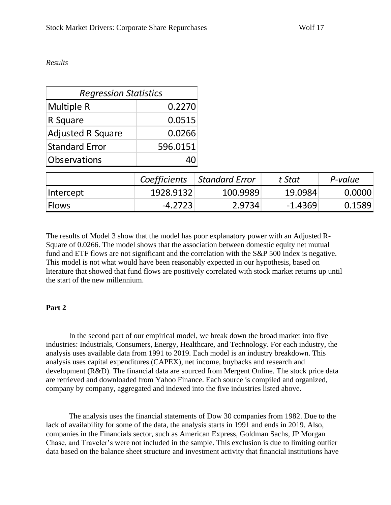#### *Results*

| <b>Regression Statistics</b> |              |                       |           |         |
|------------------------------|--------------|-----------------------|-----------|---------|
| Multiple R                   | 0.2270       |                       |           |         |
| R Square                     | 0.0515       |                       |           |         |
| <b>Adjusted R Square</b>     | 0.0266       |                       |           |         |
| <b>Standard Error</b>        | 596.0151     |                       |           |         |
| Observations                 | 40           |                       |           |         |
|                              | Coefficients | <b>Standard Error</b> | t Stat    | P-value |
| Intercept                    | 1928.9132    | 100.9989              | 19.0984   | 0.0000  |
| <b>Flows</b>                 | $-4.2723$    | 2.9734                | $-1.4369$ | 0.1589  |

The results of Model 3 show that the model has poor explanatory power with an Adjusted R-Square of 0.0266. The model shows that the association between domestic equity net mutual fund and ETF flows are not significant and the correlation with the S&P 500 Index is negative. This model is not what would have been reasonably expected in our hypothesis, based on literature that showed that fund flows are positively correlated with stock market returns up until the start of the new millennium.

#### **Part 2**

In the second part of our empirical model, we break down the broad market into five industries: Industrials, Consumers, Energy, Healthcare, and Technology. For each industry, the analysis uses available data from 1991 to 2019. Each model is an industry breakdown. This analysis uses capital expenditures (CAPEX), net income, buybacks and research and development (R&D). The financial data are sourced from Mergent Online. The stock price data are retrieved and downloaded from Yahoo Finance. Each source is compiled and organized, company by company, aggregated and indexed into the five industries listed above.

The analysis uses the financial statements of Dow 30 companies from 1982. Due to the lack of availability for some of the data, the analysis starts in 1991 and ends in 2019. Also, companies in the Financials sector, such as American Express, Goldman Sachs, JP Morgan Chase, and Traveler's were not included in the sample. This exclusion is due to limiting outlier data based on the balance sheet structure and investment activity that financial institutions have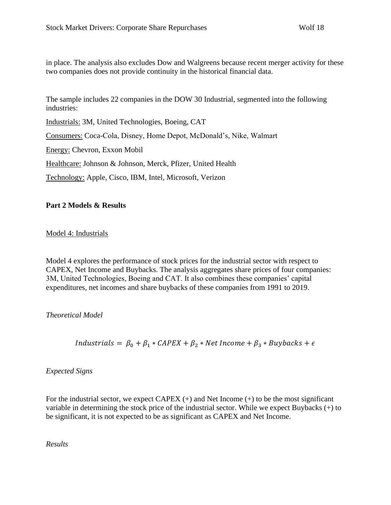in place. The analysis also excludes Dow and Walgreens because recent merger activity for these two companies does not provide continuity in the historical financial data.

The sample includes 22 companies in the DOW 30 Industrial, segmented into the following industries:

Industrials: 3M, United Technologies, Boeing, CAT Consumers: Coca-Cola, Disney, Home Depot, McDonald's, Nike, Walmart Energy: Chevron, Exxon Mobil Healthcare: Johnson & Johnson, Merck, Pfizer, United Health

Technology: Apple, Cisco, IBM, Intel, Microsoft, Verizon

## **Part 2 Models & Results**

Model 4: Industrials

Model 4 explores the performance of stock prices for the industrial sector with respect to CAPEX, Net Income and Buybacks. The analysis aggregates share prices of four companies: 3M, United Technologies, Boeing and CAT. It also combines these companies' capital expenditures, net incomes and share buybacks of these companies from 1991 to 2019.

*Theoretical Model*

*Industrials* =  $\beta_0 + \beta_1 * CAPEX + \beta_2 * Net Income + \beta_3 * Buybacks + \epsilon$ 

*Expected Signs*

For the industrial sector, we expect CAPEX  $(+)$  and Net Income  $(+)$  to be the most significant variable in determining the stock price of the industrial sector. While we expect Buybacks (+) to be significant, it is not expected to be as significant as CAPEX and Net Income.

*Results*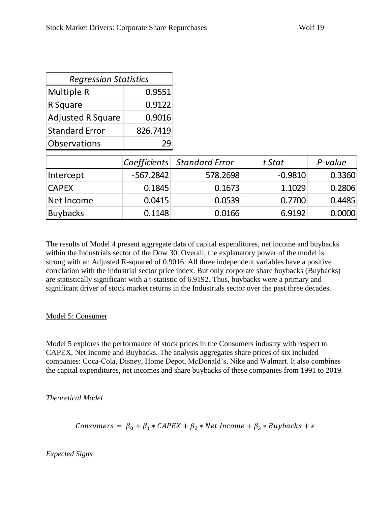| <b>Regression Statistics</b> |          |  |
|------------------------------|----------|--|
| Multiple R                   | 0.9551   |  |
| R Square                     | 0.9122   |  |
| <b>Adjusted R Square</b>     | 0.9016   |  |
| <b>Standard Error</b>        | 826.7419 |  |
| <b>Observations</b>          |          |  |

|              |             | Coefficients Standard Error | t Stat    | P-value |
|--------------|-------------|-----------------------------|-----------|---------|
| Intercept    | $-567.2842$ | 578.2698                    | $-0.9810$ | 0.3360  |
| <b>CAPEX</b> | 0.1845      | 0.1673                      | 1.1029    | 0.2806  |
| Net Income   | 0.0415      | 0.0539                      | 0.7700    | 0.4485  |
| Buybacks     | 0.1148      | 0.0166                      | 6.9192    | 0.0000  |

The results of Model 4 present aggregate data of capital expenditures, net income and buybacks within the Industrials sector of the Dow 30. Overall, the explanatory power of the model is strong with an Adjusted R-squared of 0.9016. All three independent variables have a positive correlation with the industrial sector price index. But only corporate share buybacks (Buybacks) are statistically significant with a t-statistic of 6.9192. Thus, buybacks were a primary and significant driver of stock market returns in the Industrials sector over the past three decades.

## Model 5: Consumer

Model 5 explores the performance of stock prices in the Consumers industry with respect to CAPEX, Net Income and Buybacks. The analysis aggregates share prices of six included companies: Coca-Cola, Disney, Home Depot, McDonald's, Nike and Walmart. It also combines the capital expenditures, net incomes and share buybacks of these companies from 1991 to 2019.

*Theoretical Model*

Consumers =  $\beta_0 + \beta_1 * CAPEX + \beta_2 * Net Income + \beta_3 * Buybacks + \epsilon$ 

## *Expected Signs*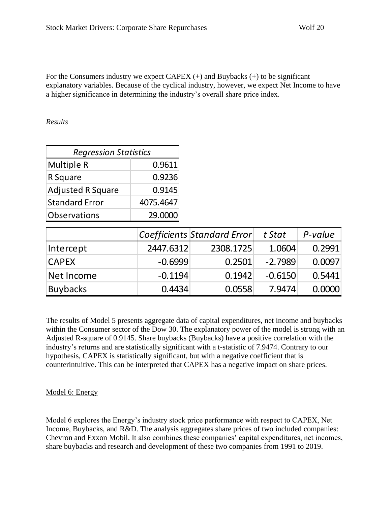For the Consumers industry we expect CAPEX  $(+)$  and Buybacks  $(+)$  to be significant explanatory variables. Because of the cyclical industry, however, we expect Net Income to have a higher significance in determining the industry's overall share price index.

*Results*

| <b>Regression Statistics</b> |           |  |
|------------------------------|-----------|--|
| Multiple R                   | 0.9611    |  |
| R Square                     | 0.9236    |  |
| <b>Adjusted R Square</b>     | 0.9145    |  |
| <b>Standard Error</b>        | 4075.4647 |  |
| Observations<br>29.0000      |           |  |

|                 |           | Coefficients Standard Error | t Stat    | P-value |
|-----------------|-----------|-----------------------------|-----------|---------|
| Intercept       | 2447.6312 | 2308.1725                   | 1.0604    | 0.2991  |
| <b>CAPEX</b>    | $-0.6999$ | 0.2501                      | $-2.7989$ | 0.0097  |
| Net Income      | $-0.1194$ | 0.1942                      | $-0.6150$ | 0.5441  |
| <b>Buybacks</b> | 0.4434    | 0.0558                      | 7.9474    | 0.0000  |

The results of Model 5 presents aggregate data of capital expenditures, net income and buybacks within the Consumer sector of the Dow 30. The explanatory power of the model is strong with an Adjusted R-square of 0.9145. Share buybacks (Buybacks) have a positive correlation with the industry's returns and are statistically significant with a t-statistic of 7.9474. Contrary to our hypothesis, CAPEX is statistically significant, but with a negative coefficient that is counterintuitive. This can be interpreted that CAPEX has a negative impact on share prices.

## Model 6: Energy

Model 6 explores the Energy's industry stock price performance with respect to CAPEX, Net Income, Buybacks, and R&D. The analysis aggregates share prices of two included companies: Chevron and Exxon Mobil. It also combines these companies' capital expenditures, net incomes, share buybacks and research and development of these two companies from 1991 to 2019.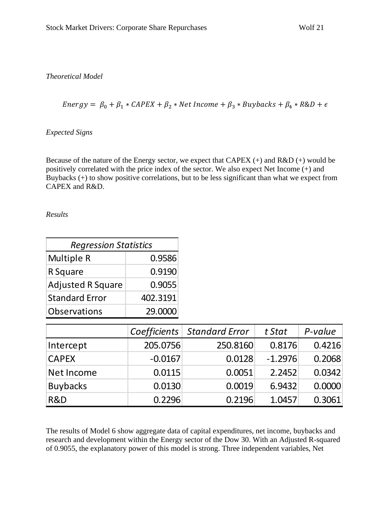*Theoretical Model*

 $Energy = \beta_0 + \beta_1 * CAPEX + \beta_2 * Net Income + \beta_3 * Buybacks + \beta_4 * R&D + \epsilon$ 

## *Expected Signs*

Because of the nature of the Energy sector, we expect that CAPEX  $(+)$  and R&D  $(+)$  would be positively correlated with the price index of the sector. We also expect Net Income (+) and Buybacks (+) to show positive correlations, but to be less significant than what we expect from CAPEX and R&D.

*Results*

| <b>Regression Statistics</b>   |          |  |
|--------------------------------|----------|--|
| Multiple R                     | 0.9586   |  |
| R Square                       | 0.9190   |  |
| <b>Adjusted R Square</b>       | 0.9055   |  |
| <b>Standard Error</b>          | 402.3191 |  |
| <b>Observations</b><br>29.0000 |          |  |

|                 |           | Coefficients   Standard Error | t Stat    | P-value |
|-----------------|-----------|-------------------------------|-----------|---------|
| Intercept       | 205.0756  | 250.8160                      | 0.8176    | 0.4216  |
| <b>CAPEX</b>    | $-0.0167$ | 0.0128                        | $-1.2976$ | 0.2068  |
| Net Income      | 0.0115    | 0.0051                        | 2.2452    | 0.0342  |
| <b>Buybacks</b> | 0.0130    | 0.0019                        | 6.9432    | 0.0000  |
| R&D             | 0.2296    | 0.2196                        | 1.0457    | 0.3061  |

The results of Model 6 show aggregate data of capital expenditures, net income, buybacks and research and development within the Energy sector of the Dow 30. With an Adjusted R-squared of 0.9055, the explanatory power of this model is strong. Three independent variables, Net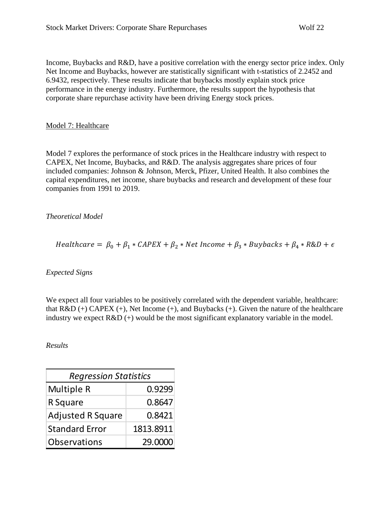Income, Buybacks and R&D, have a positive correlation with the energy sector price index. Only Net Income and Buybacks, however are statistically significant with t-statistics of 2.2452 and 6.9432, respectively. These results indicate that buybacks mostly explain stock price performance in the energy industry. Furthermore, the results support the hypothesis that corporate share repurchase activity have been driving Energy stock prices.

#### Model 7: Healthcare

Model 7 explores the performance of stock prices in the Healthcare industry with respect to CAPEX, Net Income, Buybacks, and R&D. The analysis aggregates share prices of four included companies: Johnson & Johnson, Merck, Pfizer, United Health. It also combines the capital expenditures, net income, share buybacks and research and development of these four companies from 1991 to 2019.

#### *Theoretical Model*

$$
Healthcare = \beta_0 + \beta_1 * CAPEX + \beta_2 * Net Income + \beta_3 * Buybacks + \beta_4 * R&D + \epsilon
$$

*Expected Signs*

We expect all four variables to be positively correlated with the dependent variable, healthcare: that  $R&D (+) CAPEX (+)$ , Net Income  $(+)$ , and Buybacks  $(+)$ . Given the nature of the healthcare industry we expect R&D (+) would be the most significant explanatory variable in the model.

#### *Results*

| <b>Regression Statistics</b> |           |  |
|------------------------------|-----------|--|
| Multiple R                   | 0.9299    |  |
| R Square                     | 0.8647    |  |
| <b>Adjusted R Square</b>     | 0.8421    |  |
| <b>Standard Error</b>        | 1813.8911 |  |
| Observations<br>29.0000      |           |  |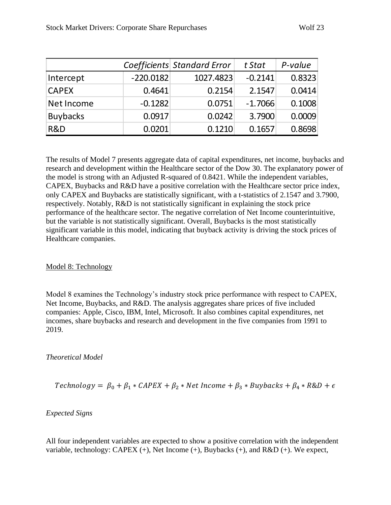|                 |             | Coefficients Standard Error | t Stat    | P-value |
|-----------------|-------------|-----------------------------|-----------|---------|
| Intercept       | $-220.0182$ | 1027.4823                   | $-0.2141$ | 0.8323  |
| <b>CAPEX</b>    | 0.4641      | 0.2154                      | 2.1547    | 0.0414  |
| Net Income      | $-0.1282$   | 0.0751                      | $-1.7066$ | 0.1008  |
| <b>Buybacks</b> | 0.0917      | 0.0242                      | 3.7900    | 0.0009  |
| R&D             | 0.0201      | 0.1210                      | 0.1657    | 0.8698  |

The results of Model 7 presents aggregate data of capital expenditures, net income, buybacks and research and development within the Healthcare sector of the Dow 30. The explanatory power of the model is strong with an Adjusted R-squared of 0.8421. While the independent variables, CAPEX, Buybacks and R&D have a positive correlation with the Healthcare sector price index, only CAPEX and Buybacks are statistically significant, with a t-statistics of 2.1547 and 3.7900, respectively. Notably, R&D is not statistically significant in explaining the stock price performance of the healthcare sector. The negative correlation of Net Income counterintuitive, but the variable is not statistically significant. Overall, Buybacks is the most statistically significant variable in this model, indicating that buyback activity is driving the stock prices of Healthcare companies.

## Model 8: Technology

Model 8 examines the Technology's industry stock price performance with respect to CAPEX, Net Income, Buybacks, and R&D. The analysis aggregates share prices of five included companies: Apple, Cisco, IBM, Intel, Microsoft. It also combines capital expenditures, net incomes, share buybacks and research and development in the five companies from 1991 to 2019.

## *Theoretical Model*

$$
Technology = \beta_0 + \beta_1 * CAPEX + \beta_2 * Net Income + \beta_3 * Buybacks + \beta_4 * R&D + \epsilon
$$

## *Expected Signs*

All four independent variables are expected to show a positive correlation with the independent variable, technology: CAPEX (+), Net Income (+), Buybacks (+), and R&D (+). We expect,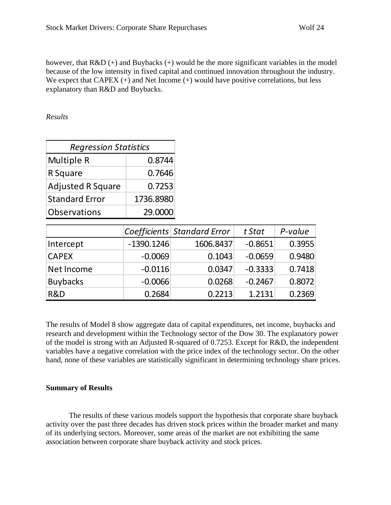however, that  $R&D (+)$  and Buybacks  $(+)$  would be the more significant variables in the model because of the low intensity in fixed capital and continued innovation throughout the industry. We expect that CAPEX  $(+)$  and Net Income  $(+)$  would have positive correlations, but less explanatory than R&D and Buybacks.

#### *Results*

| <b>Regression Statistics</b> |           |  |  |  |
|------------------------------|-----------|--|--|--|
| Multiple R                   | 0.8744    |  |  |  |
| R Square                     | 0.7646    |  |  |  |
| <b>Adjusted R Square</b>     | 0.7253    |  |  |  |
| <b>Standard Error</b>        | 1736.8980 |  |  |  |
| <b>Observations</b>          | 29.0000   |  |  |  |

|                 |              | Coefficients Standard Error | t Stat    | P-value |
|-----------------|--------------|-----------------------------|-----------|---------|
| Intercept       | $-1390.1246$ | 1606.8437                   | $-0.8651$ | 0.3955  |
| <b>CAPEX</b>    | $-0.0069$    | 0.1043                      | $-0.0659$ | 0.9480  |
| Net Income      | $-0.0116$    | 0.0347                      | $-0.3333$ | 0.7418  |
| <b>Buybacks</b> | $-0.0066$    | 0.0268                      | $-0.2467$ | 0.8072  |
| R&D             | 0.2684       | 0.2213                      | 1.2131    | 0.2369  |

The results of Model 8 show aggregate data of capital expenditures, net income, buybacks and research and development within the Technology sector of the Dow 30. The explanatory power of the model is strong with an Adjusted R-squared of 0.7253. Except for R&D, the independent variables have a negative correlation with the price index of the technology sector. On the other hand, none of these variables are statistically significant in determining technology share prices.

## **Summary of Results**

The results of these various models support the hypothesis that corporate share buyback activity over the past three decades has driven stock prices within the broader market and many of its underlying sectors. Moreover, some areas of the market are not exhibiting the same association between corporate share buyback activity and stock prices.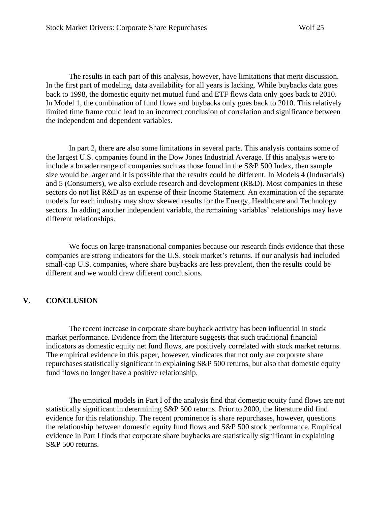The results in each part of this analysis, however, have limitations that merit discussion. In the first part of modeling, data availability for all years is lacking. While buybacks data goes back to 1998, the domestic equity net mutual fund and ETF flows data only goes back to 2010. In Model 1, the combination of fund flows and buybacks only goes back to 2010. This relatively limited time frame could lead to an incorrect conclusion of correlation and significance between the independent and dependent variables.

In part 2, there are also some limitations in several parts. This analysis contains some of the largest U.S. companies found in the Dow Jones Industrial Average. If this analysis were to include a broader range of companies such as those found in the S&P 500 Index, then sample size would be larger and it is possible that the results could be different. In Models 4 (Industrials) and 5 (Consumers), we also exclude research and development (R&D). Most companies in these sectors do not list R&D as an expense of their Income Statement. An examination of the separate models for each industry may show skewed results for the Energy, Healthcare and Technology sectors. In adding another independent variable, the remaining variables' relationships may have different relationships.

We focus on large transnational companies because our research finds evidence that these companies are strong indicators for the U.S. stock market's returns. If our analysis had included small-cap U.S. companies, where share buybacks are less prevalent, then the results could be different and we would draw different conclusions.

#### **V. CONCLUSION**

The recent increase in corporate share buyback activity has been influential in stock market performance. Evidence from the literature suggests that such traditional financial indicators as domestic equity net fund flows, are positively correlated with stock market returns. The empirical evidence in this paper, however, vindicates that not only are corporate share repurchases statistically significant in explaining S&P 500 returns, but also that domestic equity fund flows no longer have a positive relationship.

The empirical models in Part I of the analysis find that domestic equity fund flows are not statistically significant in determining S&P 500 returns. Prior to 2000, the literature did find evidence for this relationship. The recent prominence is share repurchases, however, questions the relationship between domestic equity fund flows and S&P 500 stock performance. Empirical evidence in Part I finds that corporate share buybacks are statistically significant in explaining S&P 500 returns.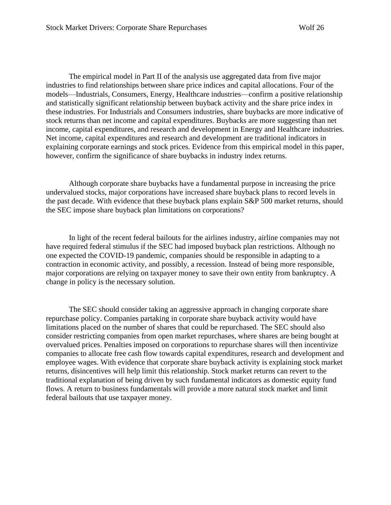The empirical model in Part II of the analysis use aggregated data from five major industries to find relationships between share price indices and capital allocations. Four of the models—Industrials, Consumers, Energy, Healthcare industries—confirm a positive relationship and statistically significant relationship between buyback activity and the share price index in these industries. For Industrials and Consumers industries, share buybacks are more indicative of stock returns than net income and capital expenditures. Buybacks are more suggesting than net income, capital expenditures, and research and development in Energy and Healthcare industries. Net income, capital expenditures and research and development are traditional indicators in explaining corporate earnings and stock prices. Evidence from this empirical model in this paper, however, confirm the significance of share buybacks in industry index returns.

Although corporate share buybacks have a fundamental purpose in increasing the price undervalued stocks, major corporations have increased share buyback plans to record levels in the past decade. With evidence that these buyback plans explain S&P 500 market returns, should the SEC impose share buyback plan limitations on corporations?

In light of the recent federal bailouts for the airlines industry, airline companies may not have required federal stimulus if the SEC had imposed buyback plan restrictions. Although no one expected the COVID-19 pandemic, companies should be responsible in adapting to a contraction in economic activity, and possibly, a recession. Instead of being more responsible, major corporations are relying on taxpayer money to save their own entity from bankruptcy. A change in policy is the necessary solution.

The SEC should consider taking an aggressive approach in changing corporate share repurchase policy. Companies partaking in corporate share buyback activity would have limitations placed on the number of shares that could be repurchased. The SEC should also consider restricting companies from open market repurchases, where shares are being bought at overvalued prices. Penalties imposed on corporations to repurchase shares will then incentivize companies to allocate free cash flow towards capital expenditures, research and development and employee wages. With evidence that corporate share buyback activity is explaining stock market returns, disincentives will help limit this relationship. Stock market returns can revert to the traditional explanation of being driven by such fundamental indicators as domestic equity fund flows. A return to business fundamentals will provide a more natural stock market and limit federal bailouts that use taxpayer money.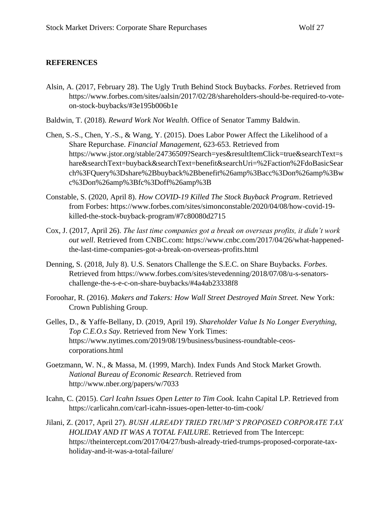## **REFERENCES**

- Alsin, A. (2017, February 28). The Ugly Truth Behind Stock Buybacks. *Forbes*. Retrieved from https://www.forbes.com/sites/aalsin/2017/02/28/shareholders-should-be-required-to-voteon-stock-buybacks/#3e195b006b1e
- Baldwin, T. (2018). *Reward Work Not Wealth.* Office of Senator Tammy Baldwin.
- Chen, S.-S., Chen, Y.-S., & Wang, Y. (2015). Does Labor Power Affect the Likelihood of a Share Repurchase. *Financial Management*, 623-653. Retrieved from https://www.jstor.org/stable/24736509?Search=yes&resultItemClick=true&searchText=s hare&searchText=buyback&searchText=benefit&searchUri=%2Faction%2FdoBasicSear ch%3FQuery%3Dshare%2Bbuyback%2Bbenefit%26amp%3Bacc%3Don%26amp%3Bw c%3Don%26amp%3Bfc%3Doff%26amp%3B
- Constable, S. (2020, April 8). *How COVID-19 Killed The Stock Buyback Program*. Retrieved from Forbes: https://www.forbes.com/sites/simonconstable/2020/04/08/how-covid-19 killed-the-stock-buyback-program/#7c80080d2715
- Cox, J. (2017, April 26). *The last time companies got a break on overseas profits, it didn't work out well*. Retrieved from CNBC.com: https://www.cnbc.com/2017/04/26/what-happenedthe-last-time-companies-got-a-break-on-overseas-profits.html
- Denning, S. (2018, July 8). U.S. Senators Challenge the S.E.C. on Share Buybacks. *Forbes*. Retrieved from https://www.forbes.com/sites/stevedenning/2018/07/08/u-s-senatorschallenge-the-s-e-c-on-share-buybacks/#4a4ab23338f8
- Foroohar, R. (2016). *Makers and Takers: How Wall Street Destroyed Main Street.* New York: Crown Publishing Group.
- Gelles, D., & Yaffe-Bellany, D. (2019, April 19). *Shareholder Value Is No Longer Everything, Top C.E.O.s Say*. Retrieved from New York Times: https://www.nytimes.com/2019/08/19/business/business-roundtable-ceoscorporations.html
- Goetzmann, W. N., & Massa, M. (1999, March). Index Funds And Stock Market Growth. *National Bureau of Economic Research*. Retrieved from http://www.nber.org/papers/w/7033
- Icahn, C. (2015). *Carl Icahn Issues Open Letter to Tim Cook.* Icahn Capital LP. Retrieved from https://carlicahn.com/carl-icahn-issues-open-letter-to-tim-cook/
- Jilani, Z. (2017, April 27). *BUSH ALREADY TRIED TRUMP'S PROPOSED CORPORATE TAX HOLIDAY AND IT WAS A TOTAL FAILURE*. Retrieved from The Intercept: https://theintercept.com/2017/04/27/bush-already-tried-trumps-proposed-corporate-taxholiday-and-it-was-a-total-failure/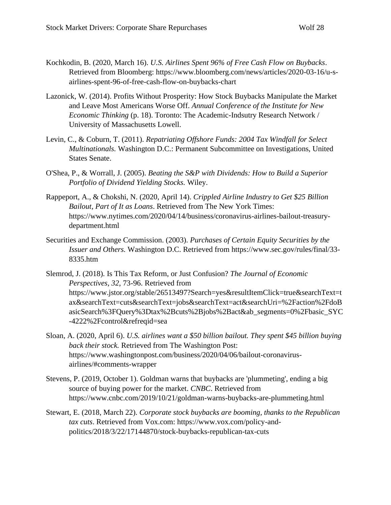- Kochkodin, B. (2020, March 16). *U.S. Airlines Spent 96% of Free Cash Flow on Buybacks*. Retrieved from Bloomberg: https://www.bloomberg.com/news/articles/2020-03-16/u-sairlines-spent-96-of-free-cash-flow-on-buybacks-chart
- Lazonick, W. (2014). Profits Without Prosperity: How Stock Buybacks Manipulate the Market and Leave Most Americans Worse Off. *Annual Conference of the Institute for New Economic Thinking* (p. 18). Toronto: The Academic-Indsutry Research Network / University of Massachusetts Lowell.
- Levin, C., & Coburn, T. (2011). *Repatriating Offshore Funds: 2004 Tax Windfall for Select Multinationals.* Washington D.C.: Permanent Subcommittee on Investigations, United States Senate.
- O'Shea, P., & Worrall, J. (2005). *Beating the S&P with Dividends: How to Build a Superior Portfolio of Dividend Yielding Stocks.* Wiley.
- Rappeport, A., & Chokshi, N. (2020, April 14). *Crippled Airline Industry to Get \$25 Billion Bailout, Part of It as Loans*. Retrieved from The New York Times: https://www.nytimes.com/2020/04/14/business/coronavirus-airlines-bailout-treasurydepartment.html
- Securities and Exchange Commission. (2003). *Purchases of Certain Equity Securities by the Issuer and Others.* Washington D.C. Retrieved from https://www.sec.gov/rules/final/33- 8335.htm
- Slemrod, J. (2018). Is This Tax Reform, or Just Confusion? *The Journal of Economic Perspectives, 32*, 73-96. Retrieved from https://www.jstor.org/stable/26513497?Search=yes&resultItemClick=true&searchText=t ax&searchText=cuts&searchText=jobs&searchText=act&searchUri=%2Faction%2FdoB asicSearch%3FQuery%3Dtax%2Bcuts%2Bjobs%2Bact&ab\_segments=0%2Fbasic\_SYC -4222%2Fcontrol&refreqid=sea
- Sloan, A. (2020, April 6). *U.S. airlines want a \$50 billion bailout. They spent \$45 billion buying back their stock.* Retrieved from The Washington Post: https://www.washingtonpost.com/business/2020/04/06/bailout-coronavirusairlines/#comments-wrapper
- Stevens, P. (2019, October 1). Goldman warns that buybacks are 'plummeting', ending a big source of buying power for the market. *CNBC*. Retrieved from https://www.cnbc.com/2019/10/21/goldman-warns-buybacks-are-plummeting.html
- Stewart, E. (2018, March 22). *Corporate stock buybacks are booming, thanks to the Republican tax cuts*. Retrieved from Vox.com: https://www.vox.com/policy-andpolitics/2018/3/22/17144870/stock-buybacks-republican-tax-cuts